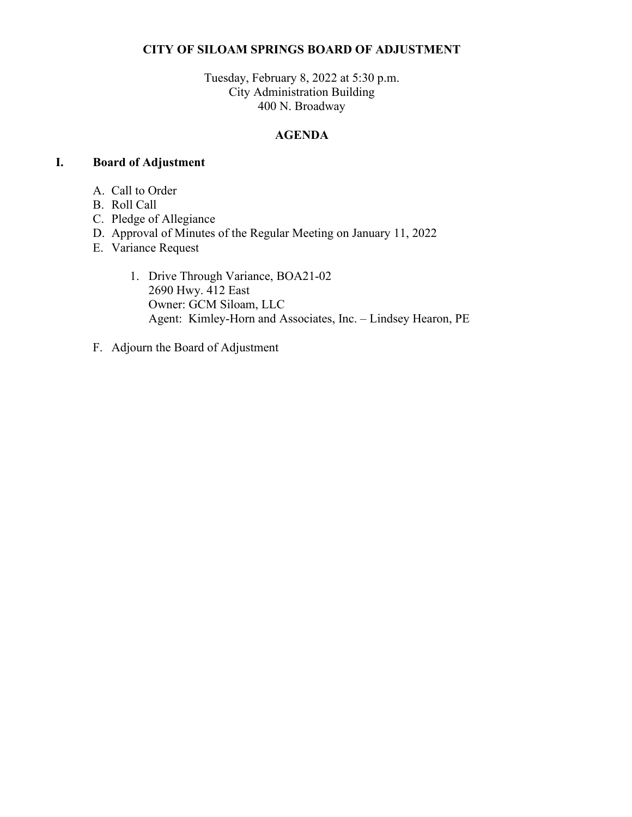## **CITY OF SILOAM SPRINGS BOARD OF ADJUSTMENT**

Tuesday, February 8, 2022 at 5:30 p.m. City Administration Building 400 N. Broadway

## **AGENDA**

#### **I. Board of Adjustment**

- A. Call to Order
- B. Roll Call
- C. Pledge of Allegiance
- D. Approval of Minutes of the Regular Meeting on January 11, 2022
- E. Variance Request
	- 1. Drive Through Variance, BOA21-02 2690 Hwy. 412 East Owner: GCM Siloam, LLC Agent: Kimley-Horn and Associates, Inc. – Lindsey Hearon, PE
- F. Adjourn the Board of Adjustment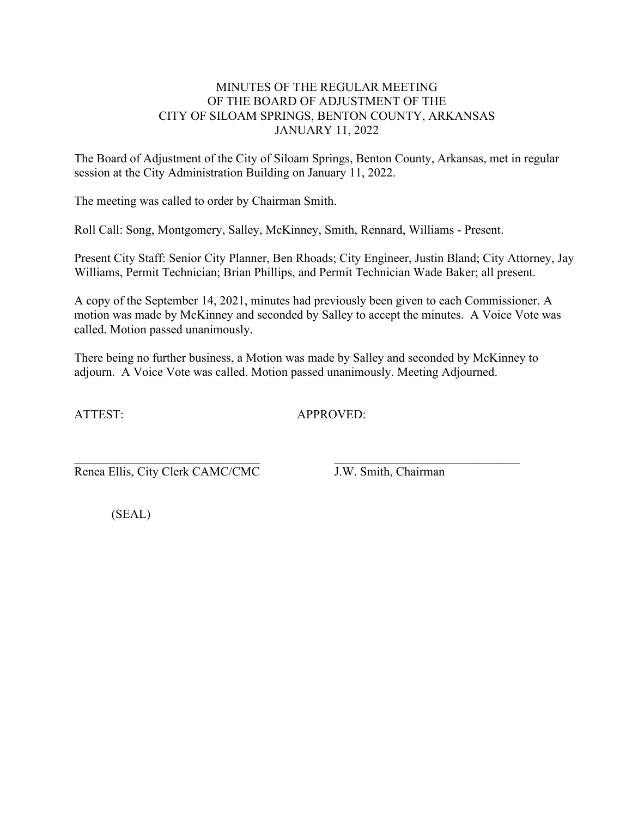## MINUTES OF THE REGULAR MEETING OF THE BOARD OF ADJUSTMENT OF THE CITY OF SILOAM SPRINGS, BENTON COUNTY, ARKANSAS JANUARY 11, 2022

The Board of Adjustment of the City of Siloam Springs, Benton County, Arkansas, met in regular session at the City Administration Building on January 11, 2022.

The meeting was called to order by Chairman Smith.

Roll Call: Song, Montgomery, Salley, McKinney, Smith, Rennard, Williams - Present.

Present City Staff: Senior City Planner, Ben Rhoads; City Engineer, Justin Bland; City Attorney, Jay Williams, Permit Technician; Brian Phillips, and Permit Technician Wade Baker; all present.

A copy of the September 14, 2021, minutes had previously been given to each Commissioner. A motion was made by McKinney and seconded by Salley to accept the minutes. A Voice Vote was called. Motion passed unanimously.

There being no further business, a Motion was made by Salley and seconded by McKinney to adjourn. A Voice Vote was called. Motion passed unanimously. Meeting Adjourned.

ATTEST: APPROVED:

 $\_$  , and the contribution of the contribution of  $\_$  . The contribution of  $\_$  ,  $\_$  ,  $\_$  ,  $\_$  ,  $\_$  ,  $\_$  ,  $\_$  ,  $\_$  ,  $\_$  ,  $\_$  ,  $\_$  ,  $\_$  ,  $\_$  ,  $\_$  ,  $\_$  ,  $\_$  ,  $\_$  ,  $\_$  ,  $\_$  ,  $\_$  ,  $\_$  ,  $\_$  ,  $\_$  ,  $\_$  , Renea Ellis, City Clerk CAMC/CMC J.W. Smith, Chairman

(SEAL)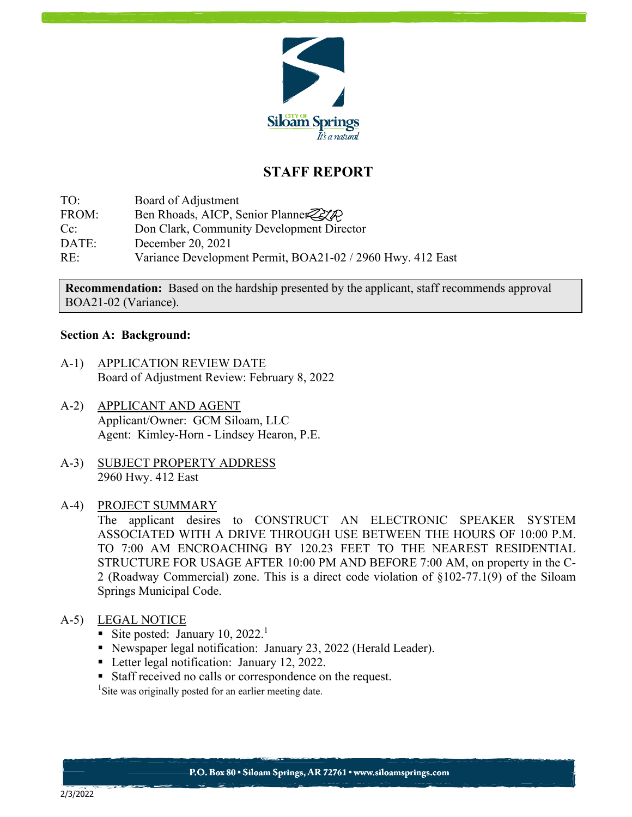

# **STAFF REPORT**

TO: Board of Adjustment FROM: Ben Rhoads, AICP, Senior Planner Cc: Don Clark, Community Development Director DATE: December 20, 2021 RE: Variance Development Permit, BOA21-02 / 2960 Hwy. 412 East

**Recommendation:** Based on the hardship presented by the applicant, staff recommends approval BOA21-02 (Variance).

#### **Section A: Background:**

- A-1) APPLICATION REVIEW DATE Board of Adjustment Review: February 8, 2022
- A-2) APPLICANT AND AGENT Applicant/Owner: GCM Siloam, LLC Agent: Kimley-Horn - Lindsey Hearon, P.E.
- A-3) SUBJECT PROPERTY ADDRESS 2960 Hwy. 412 East
- A-4) PROJECT SUMMARY

The applicant desires to CONSTRUCT AN ELECTRONIC SPEAKER SYSTEM ASSOCIATED WITH A DRIVE THROUGH USE BETWEEN THE HOURS OF 10:00 P.M. TO 7:00 AM ENCROACHING BY 120.23 FEET TO THE NEAREST RESIDENTIAL STRUCTURE FOR USAGE AFTER 10:00 PM AND BEFORE 7:00 AM, on property in the C-2 (Roadway Commercial) zone. This is a direct code violation of §102-77.1(9) of the Siloam Springs Municipal Code.

## A-5) LEGAL NOTICE

- Site posted: January 10,  $2022$ <sup>1</sup>
- Newspaper legal notification: January 23, 2022 (Herald Leader).
- Letter legal notification: January 12, 2022.
- Staff received no calls or correspondence on the request.

<sup>1</sup>Site was originally posted for an earlier meeting date.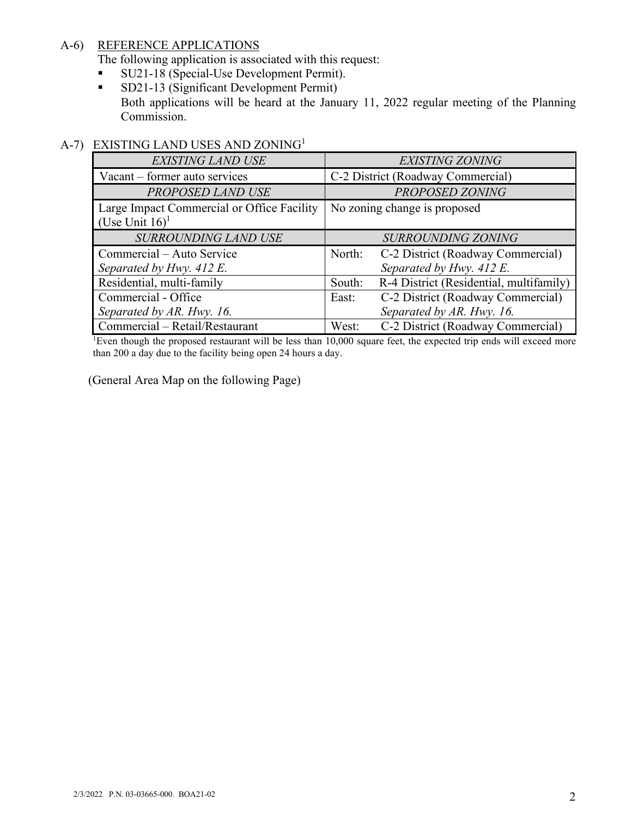## A-6) REFERENCE APPLICATIONS

The following application is associated with this request:

- **SU21-18 (Special-Use Development Permit).**
- SD21-13 (Significant Development Permit) Both applications will be heard at the January 11, 2022 regular meeting of the Planning Commission.

## A-7) EXISTING LAND USES AND ZONING<sup>1</sup>

| <b>EXISTING LAND USE</b>                                                    | <b>EXISTING ZONING</b>                                                  |
|-----------------------------------------------------------------------------|-------------------------------------------------------------------------|
| Vacant - former auto services                                               | C-2 District (Roadway Commercial)                                       |
| PROPOSED LAND USE                                                           | PROPOSED ZONING                                                         |
| Large Impact Commercial or Office Facility<br>(Use Unit $16$ ) <sup>1</sup> | No zoning change is proposed                                            |
| SURROUNDING LAND USE                                                        | <b>SURROUNDING ZONING</b>                                               |
| Commercial – Auto Service<br>Separated by Hwy. 412 E.                       | North:<br>C-2 District (Roadway Commercial)<br>Separated by Hwy. 412 E. |
| Residential, multi-family                                                   | R-4 District (Residential, multifamily)<br>South:                       |
| Commercial - Office                                                         | C-2 District (Roadway Commercial)<br>East:                              |
| Separated by AR. Hwy. 16.                                                   | Separated by AR. Hwy. 16.                                               |
| Commercial - Retail/Restaurant                                              | C-2 District (Roadway Commercial)<br>West:                              |

<sup>1</sup>Even though the proposed restaurant will be less than 10,000 square feet, the expected trip ends will exceed more than 200 a day due to the facility being open 24 hours a day.

(General Area Map on the following Page)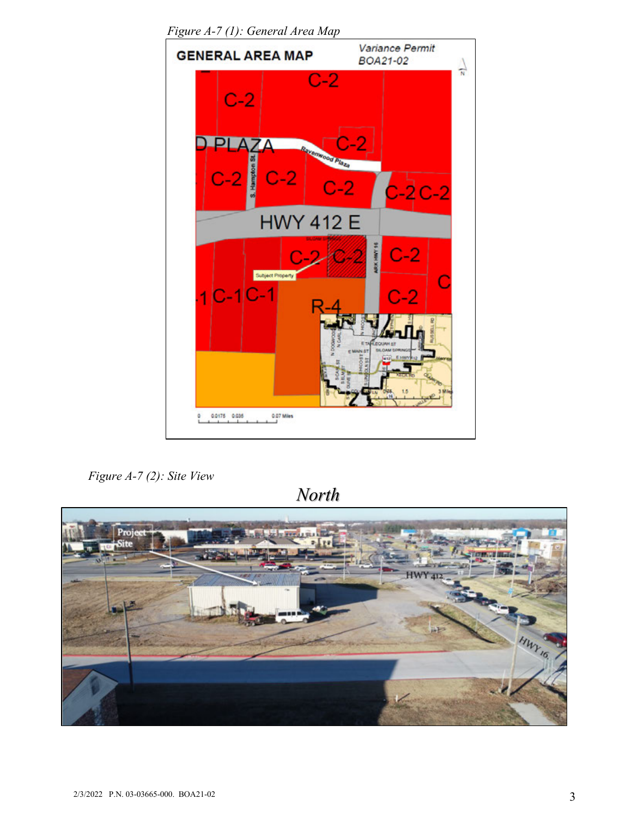

*Figure A-7 (1): General Area Map* 

*Figure A-7 (2): Site View*

*North* 

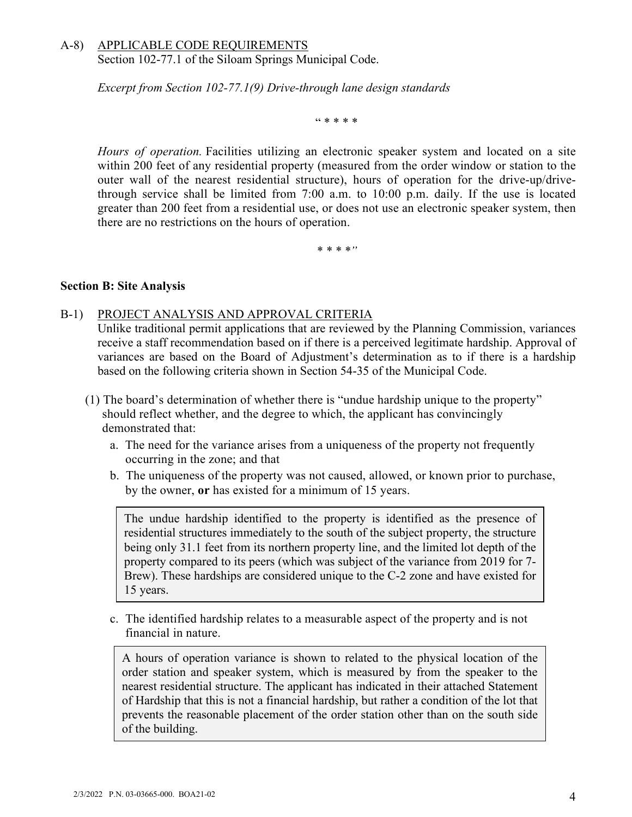## A-8) APPLICABLE CODE REQUIREMENTS Section 102-77.1 of the Siloam Springs Municipal Code.

*Excerpt from Section 102-77.1(9) Drive-through lane design standards* 

" \* \* \* \*

*Hours of operation.* Facilities utilizing an electronic speaker system and located on a site within 200 feet of any residential property (measured from the order window or station to the outer wall of the nearest residential structure), hours of operation for the drive-up/drivethrough service shall be limited from 7:00 a.m. to 10:00 p.m. daily. If the use is located greater than 200 feet from a residential use, or does not use an electronic speaker system, then there are no restrictions on the hours of operation.

*\* \* \* \*"* 

#### **Section B: Site Analysis**

#### B-1) PROJECT ANALYSIS AND APPROVAL CRITERIA

Unlike traditional permit applications that are reviewed by the Planning Commission, variances receive a staff recommendation based on if there is a perceived legitimate hardship. Approval of variances are based on the Board of Adjustment's determination as to if there is a hardship based on the following criteria shown in Section 54-35 of the Municipal Code.

- (1) The board's determination of whether there is "undue hardship unique to the property" should reflect whether, and the degree to which, the applicant has convincingly demonstrated that:
	- a. The need for the variance arises from a uniqueness of the property not frequently occurring in the zone; and that
	- b. The uniqueness of the property was not caused, allowed, or known prior to purchase, by the owner, **or** has existed for a minimum of 15 years.

The undue hardship identified to the property is identified as the presence of residential structures immediately to the south of the subject property, the structure being only 31.1 feet from its northern property line, and the limited lot depth of the property compared to its peers (which was subject of the variance from 2019 for 7- Brew). These hardships are considered unique to the C-2 zone and have existed for 15 years.

c. The identified hardship relates to a measurable aspect of the property and is not financial in nature.

A hours of operation variance is shown to related to the physical location of the order station and speaker system, which is measured by from the speaker to the nearest residential structure. The applicant has indicated in their attached Statement of Hardship that this is not a financial hardship, but rather a condition of the lot that prevents the reasonable placement of the order station other than on the south side of the building.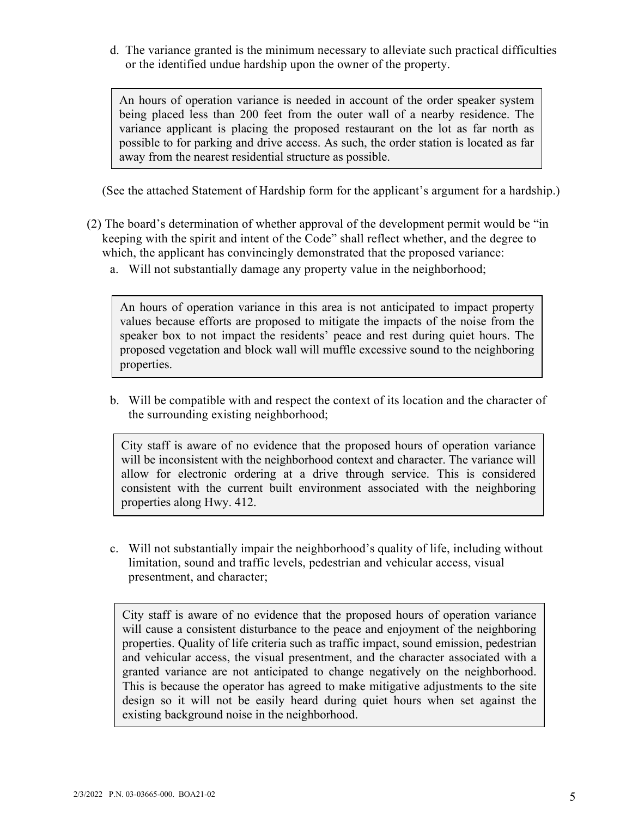d. The variance granted is the minimum necessary to alleviate such practical difficulties or the identified undue hardship upon the owner of the property.

An hours of operation variance is needed in account of the order speaker system being placed less than 200 feet from the outer wall of a nearby residence. The variance applicant is placing the proposed restaurant on the lot as far north as possible to for parking and drive access. As such, the order station is located as far away from the nearest residential structure as possible.

(See the attached Statement of Hardship form for the applicant's argument for a hardship.)

- (2) The board's determination of whether approval of the development permit would be "in keeping with the spirit and intent of the Code" shall reflect whether, and the degree to which, the applicant has convincingly demonstrated that the proposed variance:
	- a. Will not substantially damage any property value in the neighborhood;

An hours of operation variance in this area is not anticipated to impact property values because efforts are proposed to mitigate the impacts of the noise from the speaker box to not impact the residents' peace and rest during quiet hours. The proposed vegetation and block wall will muffle excessive sound to the neighboring properties.

b. Will be compatible with and respect the context of its location and the character of the surrounding existing neighborhood;

City staff is aware of no evidence that the proposed hours of operation variance will be inconsistent with the neighborhood context and character. The variance will allow for electronic ordering at a drive through service. This is considered consistent with the current built environment associated with the neighboring properties along Hwy. 412.

c. Will not substantially impair the neighborhood's quality of life, including without limitation, sound and traffic levels, pedestrian and vehicular access, visual presentment, and character;

City staff is aware of no evidence that the proposed hours of operation variance will cause a consistent disturbance to the peace and enjoyment of the neighboring properties. Quality of life criteria such as traffic impact, sound emission, pedestrian and vehicular access, the visual presentment, and the character associated with a granted variance are not anticipated to change negatively on the neighborhood. This is because the operator has agreed to make mitigative adjustments to the site design so it will not be easily heard during quiet hours when set against the existing background noise in the neighborhood.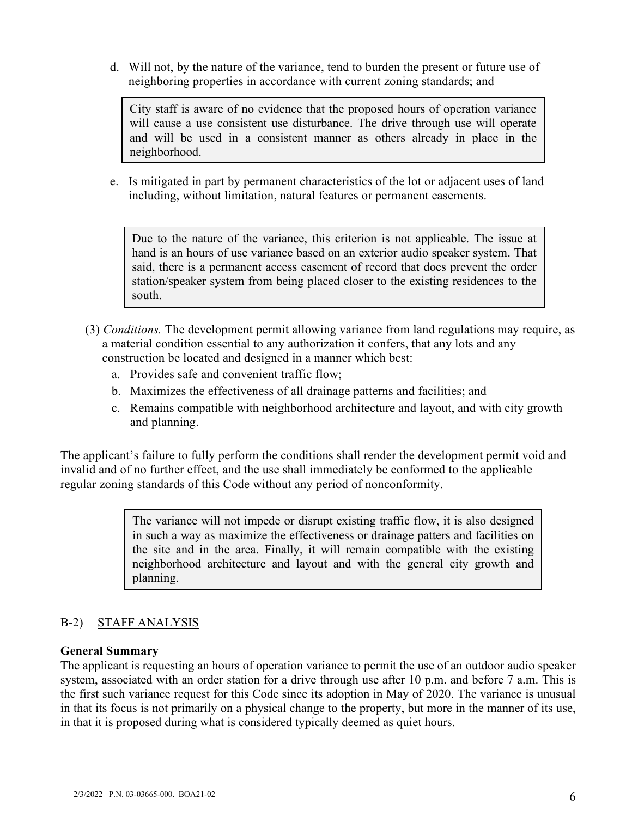d. Will not, by the nature of the variance, tend to burden the present or future use of neighboring properties in accordance with current zoning standards; and

City staff is aware of no evidence that the proposed hours of operation variance will cause a use consistent use disturbance. The drive through use will operate and will be used in a consistent manner as others already in place in the neighborhood.

e. Is mitigated in part by permanent characteristics of the lot or adjacent uses of land including, without limitation, natural features or permanent easements.

Due to the nature of the variance, this criterion is not applicable. The issue at hand is an hours of use variance based on an exterior audio speaker system. That said, there is a permanent access easement of record that does prevent the order station/speaker system from being placed closer to the existing residences to the south.

- (3) *Conditions.* The development permit allowing variance from land regulations may require, as a material condition essential to any authorization it confers, that any lots and any construction be located and designed in a manner which best:
	- a. Provides safe and convenient traffic flow;
	- b. Maximizes the effectiveness of all drainage patterns and facilities; and
	- c. Remains compatible with neighborhood architecture and layout, and with city growth and planning.

The applicant's failure to fully perform the conditions shall render the development permit void and invalid and of no further effect, and the use shall immediately be conformed to the applicable regular zoning standards of this Code without any period of nonconformity.

> The variance will not impede or disrupt existing traffic flow, it is also designed in such a way as maximize the effectiveness or drainage patters and facilities on the site and in the area. Finally, it will remain compatible with the existing neighborhood architecture and layout and with the general city growth and planning.

## B-2) STAFF ANALYSIS

#### **General Summary**

The applicant is requesting an hours of operation variance to permit the use of an outdoor audio speaker system, associated with an order station for a drive through use after 10 p.m. and before 7 a.m. This is the first such variance request for this Code since its adoption in May of 2020. The variance is unusual in that its focus is not primarily on a physical change to the property, but more in the manner of its use, in that it is proposed during what is considered typically deemed as quiet hours.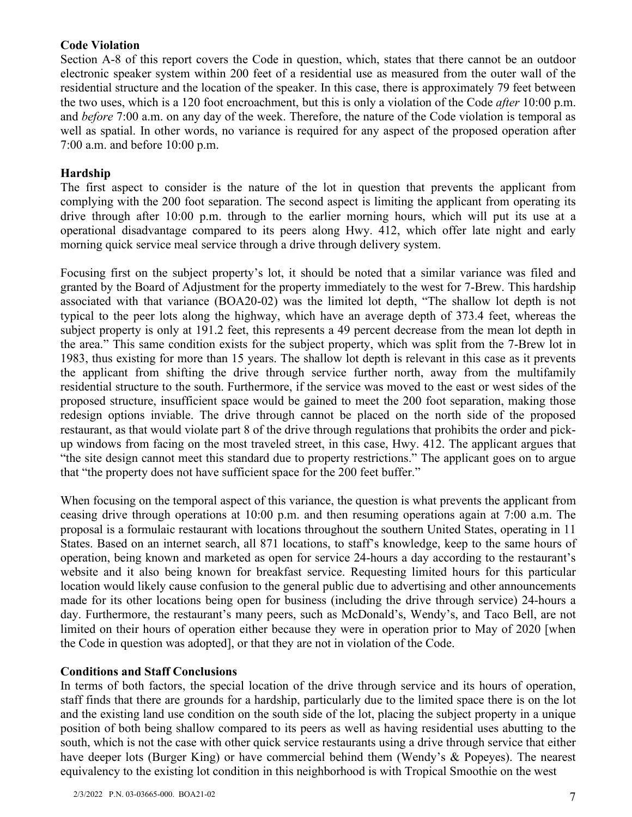## **Code Violation**

Section A-8 of this report covers the Code in question, which, states that there cannot be an outdoor electronic speaker system within 200 feet of a residential use as measured from the outer wall of the residential structure and the location of the speaker. In this case, there is approximately 79 feet between the two uses, which is a 120 foot encroachment, but this is only a violation of the Code *after* 10:00 p.m. and *before* 7:00 a.m. on any day of the week. Therefore, the nature of the Code violation is temporal as well as spatial. In other words, no variance is required for any aspect of the proposed operation after 7:00 a.m. and before 10:00 p.m.

## **Hardship**

The first aspect to consider is the nature of the lot in question that prevents the applicant from complying with the 200 foot separation. The second aspect is limiting the applicant from operating its drive through after 10:00 p.m. through to the earlier morning hours, which will put its use at a operational disadvantage compared to its peers along Hwy. 412, which offer late night and early morning quick service meal service through a drive through delivery system.

Focusing first on the subject property's lot, it should be noted that a similar variance was filed and granted by the Board of Adjustment for the property immediately to the west for 7-Brew. This hardship associated with that variance (BOA20-02) was the limited lot depth, "The shallow lot depth is not typical to the peer lots along the highway, which have an average depth of 373.4 feet, whereas the subject property is only at 191.2 feet, this represents a 49 percent decrease from the mean lot depth in the area." This same condition exists for the subject property, which was split from the 7-Brew lot in 1983, thus existing for more than 15 years. The shallow lot depth is relevant in this case as it prevents the applicant from shifting the drive through service further north, away from the multifamily residential structure to the south. Furthermore, if the service was moved to the east or west sides of the proposed structure, insufficient space would be gained to meet the 200 foot separation, making those redesign options inviable. The drive through cannot be placed on the north side of the proposed restaurant, as that would violate part 8 of the drive through regulations that prohibits the order and pickup windows from facing on the most traveled street, in this case, Hwy. 412. The applicant argues that "the site design cannot meet this standard due to property restrictions." The applicant goes on to argue that "the property does not have sufficient space for the 200 feet buffer."

When focusing on the temporal aspect of this variance, the question is what prevents the applicant from ceasing drive through operations at 10:00 p.m. and then resuming operations again at 7:00 a.m. The proposal is a formulaic restaurant with locations throughout the southern United States, operating in 11 States. Based on an internet search, all 871 locations, to staff's knowledge, keep to the same hours of operation, being known and marketed as open for service 24-hours a day according to the restaurant's website and it also being known for breakfast service. Requesting limited hours for this particular location would likely cause confusion to the general public due to advertising and other announcements made for its other locations being open for business (including the drive through service) 24-hours a day. Furthermore, the restaurant's many peers, such as McDonald's, Wendy's, and Taco Bell, are not limited on their hours of operation either because they were in operation prior to May of 2020 [when the Code in question was adopted], or that they are not in violation of the Code.

#### **Conditions and Staff Conclusions**

In terms of both factors, the special location of the drive through service and its hours of operation, staff finds that there are grounds for a hardship, particularly due to the limited space there is on the lot and the existing land use condition on the south side of the lot, placing the subject property in a unique position of both being shallow compared to its peers as well as having residential uses abutting to the south, which is not the case with other quick service restaurants using a drive through service that either have deeper lots (Burger King) or have commercial behind them (Wendy's & Popeyes). The nearest equivalency to the existing lot condition in this neighborhood is with Tropical Smoothie on the west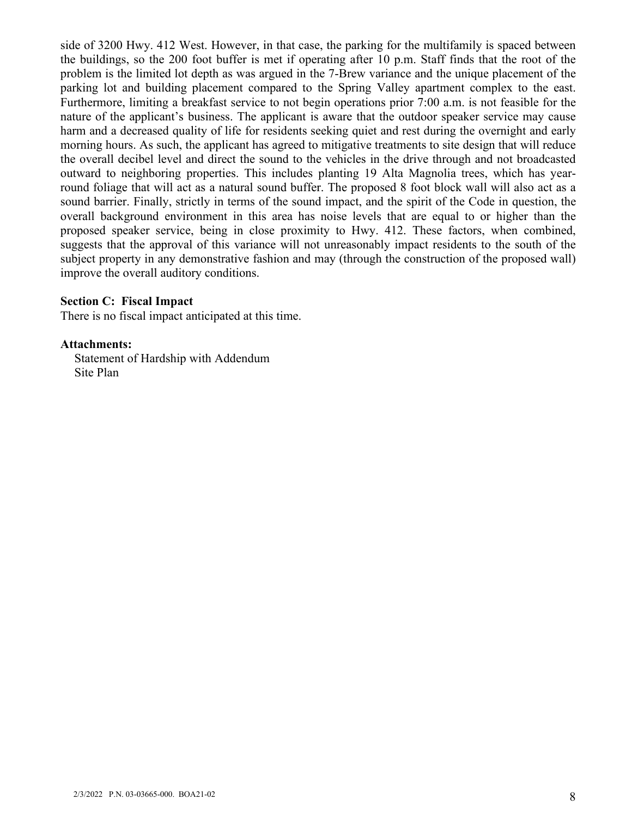side of 3200 Hwy. 412 West. However, in that case, the parking for the multifamily is spaced between the buildings, so the 200 foot buffer is met if operating after 10 p.m. Staff finds that the root of the problem is the limited lot depth as was argued in the 7-Brew variance and the unique placement of the parking lot and building placement compared to the Spring Valley apartment complex to the east. Furthermore, limiting a breakfast service to not begin operations prior 7:00 a.m. is not feasible for the nature of the applicant's business. The applicant is aware that the outdoor speaker service may cause harm and a decreased quality of life for residents seeking quiet and rest during the overnight and early morning hours. As such, the applicant has agreed to mitigative treatments to site design that will reduce the overall decibel level and direct the sound to the vehicles in the drive through and not broadcasted outward to neighboring properties. This includes planting 19 Alta Magnolia trees, which has yearround foliage that will act as a natural sound buffer. The proposed 8 foot block wall will also act as a sound barrier. Finally, strictly in terms of the sound impact, and the spirit of the Code in question, the overall background environment in this area has noise levels that are equal to or higher than the proposed speaker service, being in close proximity to Hwy. 412. These factors, when combined, suggests that the approval of this variance will not unreasonably impact residents to the south of the subject property in any demonstrative fashion and may (through the construction of the proposed wall) improve the overall auditory conditions.

#### **Section C: Fiscal Impact**

There is no fiscal impact anticipated at this time.

#### **Attachments:**

Statement of Hardship with Addendum Site Plan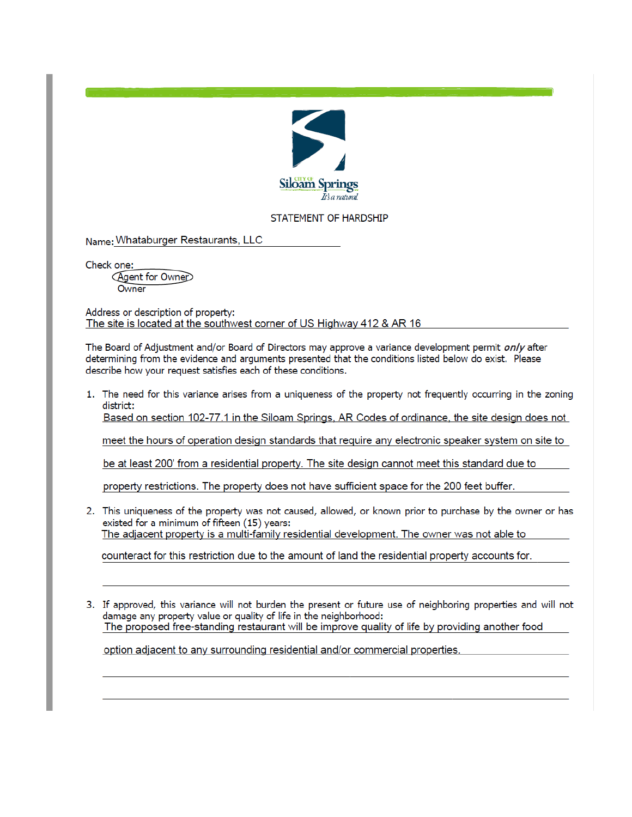

#### STATEMENT OF HARDSHIP

Name: Whataburger Restaurants, LLC

Check one:

Agent for Owner Owner

Address or description of property: The site is located at the southwest corner of US Highway 412 & AR 16

The Board of Adjustment and/or Board of Directors may approve a variance development permit only after determining from the evidence and arguments presented that the conditions listed below do exist. Please describe how your request satisfies each of these conditions.

1. The need for this variance arises from a uniqueness of the property not frequently occurring in the zoning district:

Based on section 102-77.1 in the Siloam Springs, AR Codes of ordinance, the site design does not

meet the hours of operation design standards that require any electronic speaker system on site to

be at least 200' from a residential property. The site design cannot meet this standard due to

property restrictions. The property does not have sufficient space for the 200 feet buffer.

2. This uniqueness of the property was not caused, allowed, or known prior to purchase by the owner or has existed for a minimum of fifteen (15) years: The adjacent property is a multi-family residential development. The owner was not able to

counteract for this restriction due to the amount of land the residential property accounts for.

3. If approved, this variance will not burden the present or future use of neighboring properties and will not damage any property value or quality of life in the neighborhood: The proposed free-standing restaurant will be improve quality of life by providing another food

option adjacent to any surrounding residential and/or commercial properties.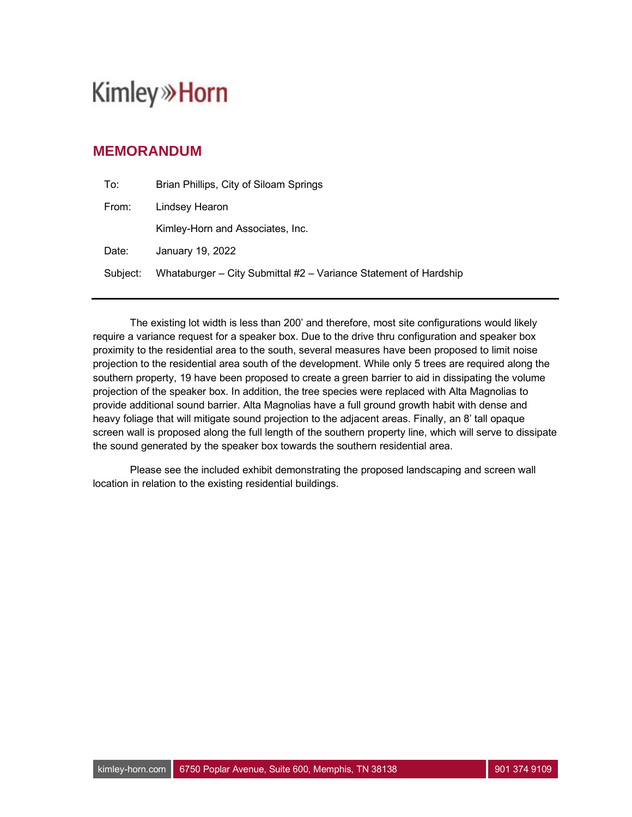# **Kimley»Horn**

## **MEMORANDUM**

| To:      | Brian Phillips, City of Siloam Springs                           |
|----------|------------------------------------------------------------------|
| From:    | Lindsey Hearon                                                   |
|          | Kimley-Horn and Associates, Inc.                                 |
| Date:    | January 19, 2022                                                 |
| Subject: | Whataburger - City Submittal #2 - Variance Statement of Hardship |

The existing lot width is less than 200' and therefore, most site configurations would likely require a variance request for a speaker box. Due to the drive thru configuration and speaker box proximity to the residential area to the south, several measures have been proposed to limit noise projection to the residential area south of the development. While only 5 trees are required along the southern property, 19 have been proposed to create a green barrier to aid in dissipating the volume projection of the speaker box. In addition, the tree species were replaced with Alta Magnolias to provide additional sound barrier. Alta Magnolias have a full ground growth habit with dense and heavy foliage that will mitigate sound projection to the adjacent areas. Finally, an 8' tall opaque screen wall is proposed along the full length of the southern property line, which will serve to dissipate the sound generated by the speaker box towards the southern residential area.

Please see the included exhibit demonstrating the proposed landscaping and screen wall location in relation to the existing residential buildings.